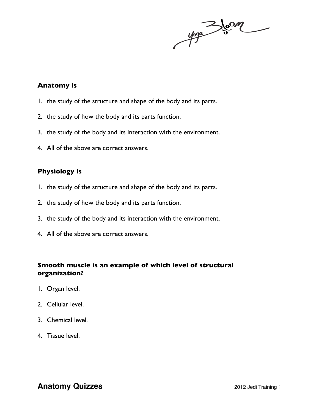$y_{00}$   $\rightarrow 5$  on

#### **Anatomy is**

- 1. the study of the structure and shape of the body and its parts.
- 2. the study of how the body and its parts function.
- 3. the study of the body and its interaction with the environment.
- 4. All of the above are correct answers.

#### **Physiology is**

- 1. the study of the structure and shape of the body and its parts.
- 2. the study of how the body and its parts function.
- 3. the study of the body and its interaction with the environment.
- 4. All of the above are correct answers.

### **Smooth muscle is an example of which level of structural organization?**

- 1. Organ level.
- 2. Cellular level.
- 3. Chemical level.
- 4. Tissue level.

## **Anatomy Quizzes 2012 Jedi Training 1**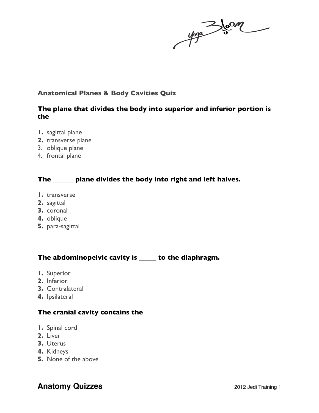#### **Anatomical Planes & Body Cavities Quiz**

#### **The plane that divides the body into superior and inferior portion is the**

- **1.** sagittal plane
- **2.** transverse plane
- 3. oblique plane
- 4. frontal plane

### **The \_\_\_\_\_\_ plane divides the body into right and left halves.**

- **1.** transverse
- **2.** sagittal
- **3.** coronal
- **4.** oblique
- **5.** para-sagittal

### **The abdominopelvic cavity is \_\_\_\_\_ to the diaphragm.**

- **1.** Superior
- **2.** Inferior
- **3.** Contralateral
- **4.** Ipsilateral

#### **The cranial cavity contains the**

- **1.** Spinal cord
- **2.** Liver
- **3.** Uterus
- **4.** Kidneys
- **5.** None of the above

# **Anatomy Quizzes 2012 Jedi Training 1**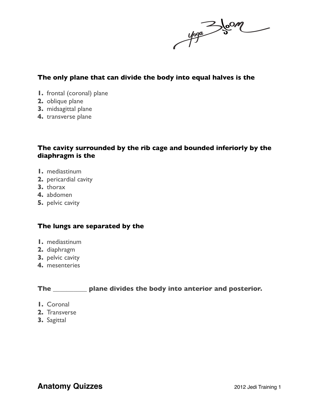$\frac{1}{\sqrt{2\pi}}\int_{0}^{\infty}$ 

#### **The only plane that can divide the body into equal halves is the**

- **1.** frontal (coronal) plane
- **2.** oblique plane
- **3.** midsagittal plane
- **4.** transverse plane

#### **The cavity surrounded by the rib cage and bounded inferiorly by the diaphragm is the**

- **1.** mediastinum
- **2.** pericardial cavity
- **3.** thorax
- **4.** abdomen
- **5.** pelvic cavity

#### **The lungs are separated by the**

- **1.** mediastinum
- **2.** diaphragm
- **3.** pelvic cavity
- **4.** mesenteries

### **The \_\_\_\_\_\_\_\_\_\_ plane divides the body into anterior and posterior.**

- **1.** Coronal
- **2.** Transverse
- **3.** Sagittal

## **Anatomy Quizzes 2012 Jedi Training 1**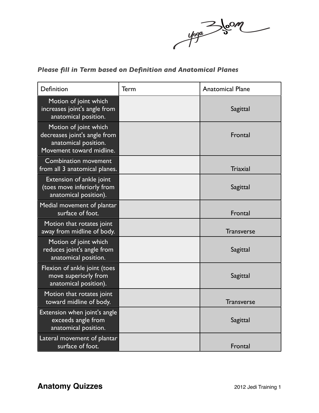yoga 3 Jean

## *Please fill in Term based on Definition and Anatomical Planes*

| Definition                                                                                                | Term | <b>Anatomical Plane</b> |
|-----------------------------------------------------------------------------------------------------------|------|-------------------------|
| Motion of joint which<br>increases joint's angle from<br>anatomical position.                             |      | Sagittal                |
| Motion of joint which<br>decreases joint's angle from<br>anatomical position.<br>Movement toward midline. |      | Frontal                 |
| <b>Combination movement</b><br>from all 3 anatomical planes.                                              |      | <b>Triaxial</b>         |
| Extension of ankle joint<br>(toes move inferiorly from<br>anatomical position).                           |      | Sagittal                |
| Medial movement of plantar<br>surface of foot.                                                            |      | Frontal                 |
| Motion that rotates joint<br>away from midline of body.                                                   |      | <b>Transverse</b>       |
| Motion of joint which<br>reduces joint's angle from<br>anatomical position.                               |      | Sagittal                |
| Flexion of ankle joint (toes<br>move superiorly from<br>anatomical position).                             |      | Sagittal                |
| Motion that rotates joint<br>toward midline of body.                                                      |      | <b>Transverse</b>       |
| Extension when joint's angle<br>exceeds angle from<br>anatomical position.                                |      | Sagittal                |
| Lateral movement of plantar<br>surface of foot.                                                           |      | Frontal                 |